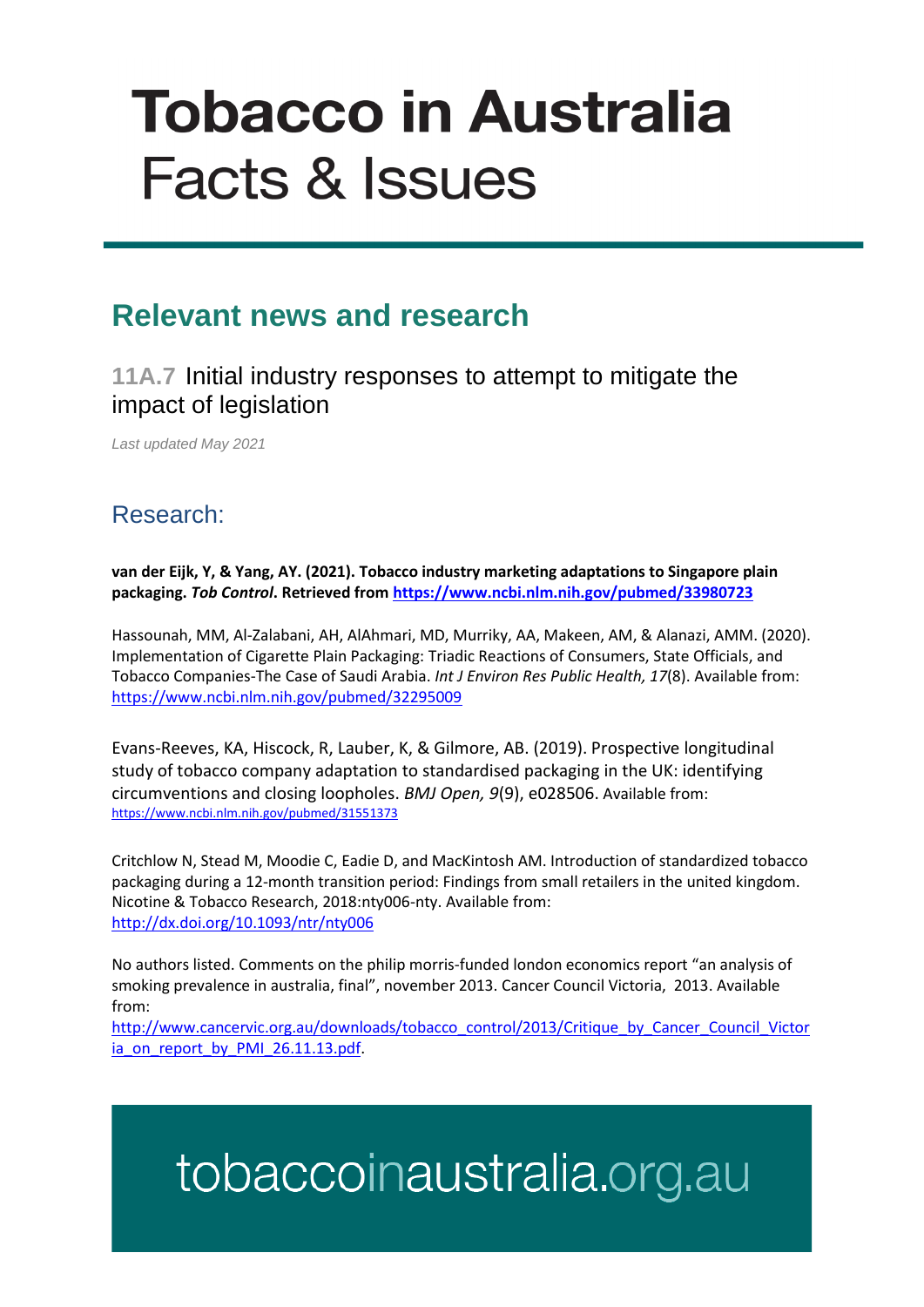# **Tobacco in Australia Facts & Issues**

### **Relevant news and research**

#### **11A.7** Initial industry responses to attempt to mitigate the impact of legislation

*Last updated May 2021*

### Research:

**van der Eijk, Y, & Yang, AY. (2021). Tobacco industry marketing adaptations to Singapore plain packaging.** *Tob Control***. Retrieved from<https://www.ncbi.nlm.nih.gov/pubmed/33980723>**

Hassounah, MM, Al-Zalabani, AH, AlAhmari, MD, Murriky, AA, Makeen, AM, & Alanazi, AMM. (2020). Implementation of Cigarette Plain Packaging: Triadic Reactions of Consumers, State Officials, and Tobacco Companies-The Case of Saudi Arabia. *Int J Environ Res Public Health, 17*(8). Available from: <https://www.ncbi.nlm.nih.gov/pubmed/32295009>

Evans-Reeves, KA, Hiscock, R, Lauber, K, & Gilmore, AB. (2019). Prospective longitudinal study of tobacco company adaptation to standardised packaging in the UK: identifying circumventions and closing loopholes. *BMJ Open, 9*(9), e028506. Available from: <https://www.ncbi.nlm.nih.gov/pubmed/31551373>

Critchlow N, Stead M, Moodie C, Eadie D, and MacKintosh AM. Introduction of standardized tobacco packaging during a 12-month transition period: Findings from small retailers in the united kingdom. Nicotine & Tobacco Research, 2018:nty006-nty. Available from: <http://dx.doi.org/10.1093/ntr/nty006>

No authors listed. Comments on the philip morris-funded london economics report "an analysis of smoking prevalence in australia, final", november 2013. Cancer Council Victoria, 2013. Available from:

[http://www.cancervic.org.au/downloads/tobacco\\_control/2013/Critique\\_by\\_Cancer\\_Council\\_Victor](http://www.cancervic.org.au/downloads/tobacco_control/2013/Critique_by_Cancer_Council_Victoria_on_report_by_PMI_26.11.13.pdf) [ia\\_on\\_report\\_by\\_PMI\\_26.11.13.pdf.](http://www.cancervic.org.au/downloads/tobacco_control/2013/Critique_by_Cancer_Council_Victoria_on_report_by_PMI_26.11.13.pdf)

## tobaccoinaustralia.org.au